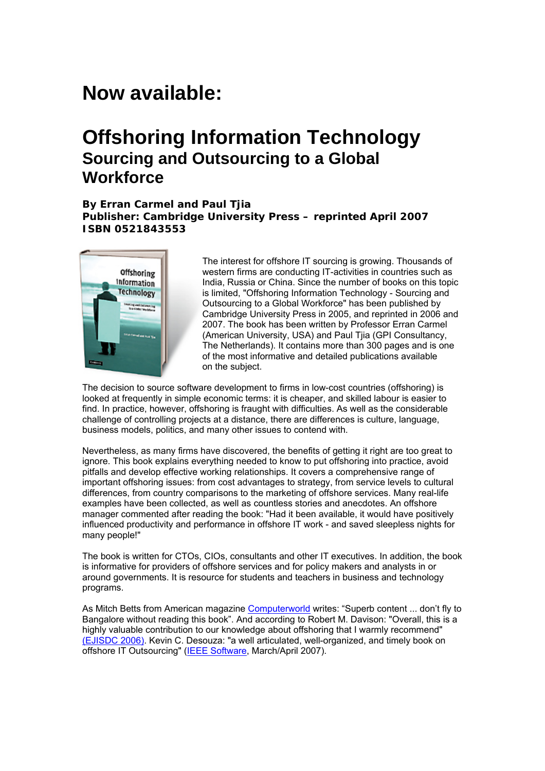# **Now available:**

# **Offshoring Information Technology Sourcing and Outsourcing to a Global Workforce**

**By Erran Carmel and Paul Tjia Publisher: Cambridge University Press – reprinted April 2007 ISBN 0521843553** 



The interest for offshore IT sourcing is growing. Thousands of western firms are conducting IT-activities in countries such as India, Russia or China. Since the number of books on this topic is limited, "Offshoring Information Technology - Sourcing and Outsourcing to a Global Workforce" has been published by Cambridge University Press in 2005, and reprinted in 2006 and 2007. The book has been written by Professor Erran Carmel (American University, USA) and Paul Tjia (GPI Consultancy, The Netherlands). It contains more than 300 pages and is one of the most informative and detailed publications available on the subject.

The decision to source software development to firms in low-cost countries (offshoring) is looked at frequently in simple economic terms: it is cheaper, and skilled labour is easier to find. In practice, however, offshoring is fraught with difficulties. As well as the considerable challenge of controlling projects at a distance, there are differences is culture, language, business models, politics, and many other issues to contend with.

Nevertheless, as many firms have discovered, the benefits of getting it right are too great to ignore. This book explains everything needed to know to put offshoring into practice, avoid pitfalls and develop effective working relationships. It covers a comprehensive range of important offshoring issues: from cost advantages to strategy, from service levels to cultural differences, from country comparisons to the marketing of offshore services. Many real-life examples have been collected, as well as countless stories and anecdotes. An offshore manager commented after reading the book: "Had it been available, it would have positively influenced productivity and performance in offshore IT work - and saved sleepless nights for many people!"

The book is written for CTOs, CIOs, consultants and other IT executives. In addition, the book is informative for providers of offshore services and for policy makers and analysts in or around governments. It is resource for students and teachers in business and technology programs.

As Mitch Betts from American magazine [Computerworld](http://www.computerworld.com/managementtopics/management/story/0,10801,104312,00.html) writes: "Superb content ... don't fly to Bangalore without reading this book". And according to Robert M. Davison: "Overall, this is a highly valuable contribution to our knowledge about offshoring that I warmly recommend" [\(EJISDC 2006\)](http://www.ejisdc.org/ojs/include/getdoc.php?id=202&article=216&mode=pdf). Kevin C. Desouza: "a well articulated, well-organized, and timely book on offshore IT Outsourcing" [\(IEEE Software](http://csdl.computer.org/comp/mags/so/2007/02/s2091.pdf), March/April 2007).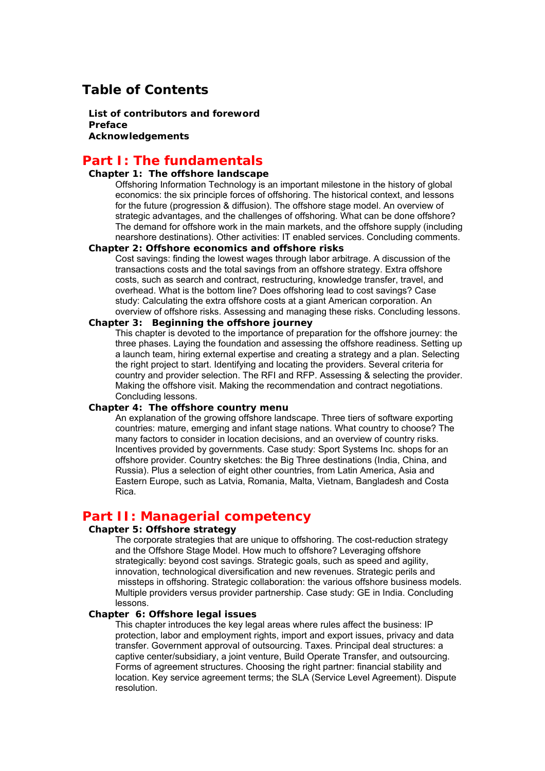## **Table of Contents**

 **List of contributors and foreword Preface Acknowledgements** 

## **Part I: The fundamentals**

### **Chapter 1: The offshore landscape**

Offshoring Information Technology is an important milestone in the history of global economics: the six principle forces of offshoring. The historical context, and lessons for the future (progression & diffusion). The offshore stage model. An overview of strategic advantages, and the challenges of offshoring. What can be done offshore? The demand for offshore work in the main markets, and the offshore supply (including nearshore destinations). Other activities: IT enabled services. Concluding comments.

#### **Chapter 2: Offshore economics and offshore risks**

Cost savings: finding the lowest wages through labor arbitrage. A discussion of the transactions costs and the total savings from an offshore strategy. Extra offshore costs, such as search and contract, restructuring, knowledge transfer, travel, and overhead. What is the bottom line? Does offshoring lead to cost savings? Case study: Calculating the extra offshore costs at a giant American corporation. An overview of offshore risks. Assessing and managing these risks. Concluding lessons.

#### **Chapter 3: Beginning the offshore journey**

This chapter is devoted to the importance of preparation for the offshore journey: the three phases. Laying the foundation and assessing the offshore readiness. Setting up a launch team, hiring external expertise and creating a strategy and a plan. Selecting the right project to start. Identifying and locating the providers. Several criteria for country and provider selection. The RFI and RFP. Assessing & selecting the provider. Making the offshore visit. Making the recommendation and contract negotiations. Concluding lessons.

#### **Chapter 4: The offshore country menu**

An explanation of the growing offshore landscape. Three tiers of software exporting countries: mature, emerging and infant stage nations. What country to choose? The many factors to consider in location decisions, and an overview of country risks. Incentives provided by governments. Case study: Sport Systems Inc. shops for an offshore provider. Country sketches: the Big Three destinations (India, China, and Russia). Plus a selection of eight other countries, from Latin America, Asia and Eastern Europe, such as Latvia, Romania, Malta, Vietnam, Bangladesh and Costa Rica.

### **Part II: Managerial competency**

#### **Chapter 5: Offshore strategy**

The corporate strategies that are unique to offshoring. The cost-reduction strategy and the Offshore Stage Model. How much to offshore? Leveraging offshore strategically: beyond cost savings. Strategic goals, such as speed and agility, innovation, technological diversification and new revenues. Strategic perils and missteps in offshoring. Strategic collaboration: the various offshore business models. Multiple providers versus provider partnership. Case study: GE in India. Concluding lessons.

#### **Chapter 6: Offshore legal issues**

This chapter introduces the key legal areas where rules affect the business: IP protection, labor and employment rights, import and export issues, privacy and data transfer. Government approval of outsourcing. Taxes. Principal deal structures: a captive center/subsidiary, a joint venture, Build Operate Transfer, and outsourcing. Forms of agreement structures. Choosing the right partner: financial stability and location. Key service agreement terms; the SLA (Service Level Agreement). Dispute resolution.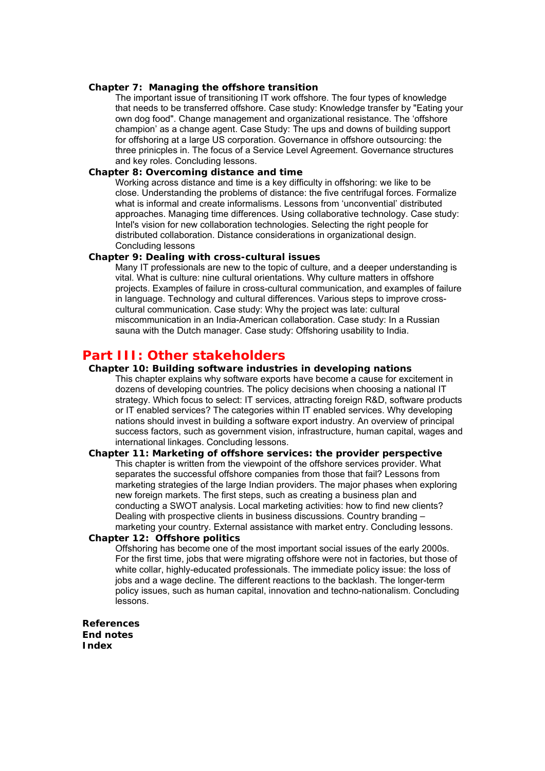#### **Chapter 7: Managing the offshore transition**

The important issue of transitioning IT work offshore. The four types of knowledge that needs to be transferred offshore. Case study: Knowledge transfer by "Eating your own dog food". Change management and organizational resistance. The 'offshore champion' as a change agent. Case Study: The ups and downs of building support for offshoring at a large US corporation. Governance in offshore outsourcing: the three prinicples in. The focus of a Service Level Agreement. Governance structures and key roles. Concluding lessons.

#### **Chapter 8: Overcoming distance and time**

Working across distance and time is a key difficulty in offshoring: we like to be close. Understanding the problems of distance: the five centrifugal forces. Formalize what is informal and create informalisms. Lessons from 'unconvential' distributed approaches. Managing time differences. Using collaborative technology. Case study: Intel's vision for new collaboration technologies. Selecting the right people for distributed collaboration. Distance considerations in organizational design. Concluding lessons

#### **Chapter 9: Dealing with cross-cultural issues**

Many IT professionals are new to the topic of culture, and a deeper understanding is vital. What is culture: nine cultural orientations. Why culture matters in offshore projects. Examples of failure in cross-cultural communication, and examples of failure in language. Technology and cultural differences. Various steps to improve crosscultural communication. Case study: Why the project was late: cultural miscommunication in an India-American collaboration. Case study: In a Russian sauna with the Dutch manager. Case study: Offshoring usability to India.

### **Part III: Other stakeholders**

#### **Chapter 10: Building software industries in developing nations**

This chapter explains why software exports have become a cause for excitement in dozens of developing countries. The policy decisions when choosing a national IT strategy. Which focus to select: IT services, attracting foreign R&D, software products or IT enabled services? The categories within IT enabled services. Why developing nations should invest in building a software export industry. An overview of principal success factors, such as government vision, infrastructure, human capital, wages and international linkages. Concluding lessons.

 **Chapter 11: Marketing of offshore services: the provider perspective**  This chapter is written from the viewpoint of the offshore services provider. What separates the successful offshore companies from those that fail? Lessons from marketing strategies of the large Indian providers. The major phases when exploring new foreign markets. The first steps, such as creating a business plan and conducting a SWOT analysis. Local marketing activities: how to find new clients? Dealing with prospective clients in business discussions. Country branding – marketing your country. External assistance with market entry. Concluding lessons.

### **Chapter 12: Offshore politics**

Offshoring has become one of the most important social issues of the early 2000s. For the first time, jobs that were migrating offshore were not in factories, but those of white collar, highly-educated professionals. The immediate policy issue: the loss of jobs and a wage decline. The different reactions to the backlash. The longer-term policy issues, such as human capital, innovation and techno-nationalism. Concluding lessons.

**References End notes Index**